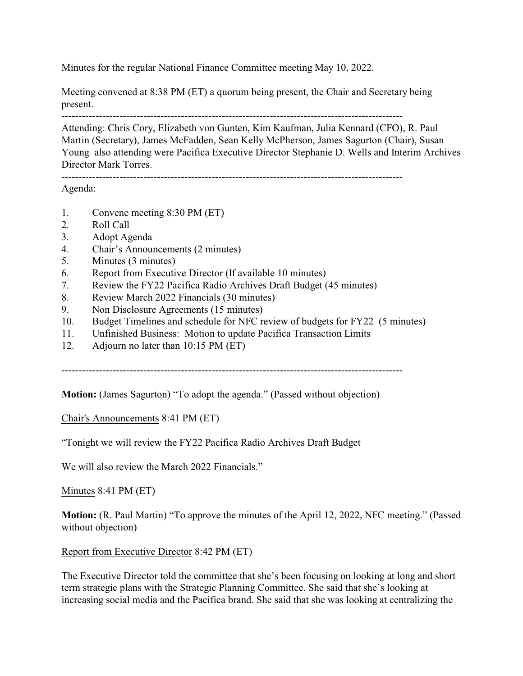Minutes for the regular National Finance Committee meeting May 10, 2022.

Meeting convened at 8:38 PM (ET) a quorum being present, the Chair and Secretary being present.

----------------------------------------------------------------------------------------------------

Attending: Chris Cory, Elizabeth von Gunten, Kim Kaufman, Julia Kennard (CFO), R. Paul Martin (Secretary), James McFadden, Sean Kelly McPherson, James Sagurton (Chair), Susan Young also attending were Pacifica Executive Director Stephanie D. Wells and Interim Archives Director Mark Torres.

----------------------------------------------------------------------------------------------------

Agenda:

- 1. Convene meeting 8:30 PM (ET)
- 2. Roll Call
- 3. Adopt Agenda
- 4. Chair's Announcements (2 minutes)
- 5. Minutes (3 minutes)
- 6. Report from Executive Director (If available 10 minutes)
- 7. Review the FY22 Pacifica Radio Archives Draft Budget (45 minutes)
- 8. Review March 2022 Financials (30 minutes)
- 9. Non Disclosure Agreements (15 minutes)
- 10. Budget Timelines and schedule for NFC review of budgets for FY22 (5 minutes)
- 11. Unfinished Business: Motion to update Pacifica Transaction Limits
- 12. Adjourn no later than 10:15 PM (ET)

----------------------------------------------------------------------------------------------------

**Motion:** (James Sagurton) "To adopt the agenda." (Passed without objection)

Chair's Announcements 8:41 PM (ET)

"Tonight we will review the FY22 Pacifica Radio Archives Draft Budget

We will also review the March 2022 Financials."

Minutes 8:41 PM (ET)

**Motion:** (R. Paul Martin) "To approve the minutes of the April 12, 2022, NFC meeting." (Passed without objection)

Report from Executive Director 8:42 PM (ET)

The Executive Director told the committee that she's been focusing on looking at long and short term strategic plans with the Strategic Planning Committee. She said that she's looking at increasing social media and the Pacifica brand. She said that she was looking at centralizing the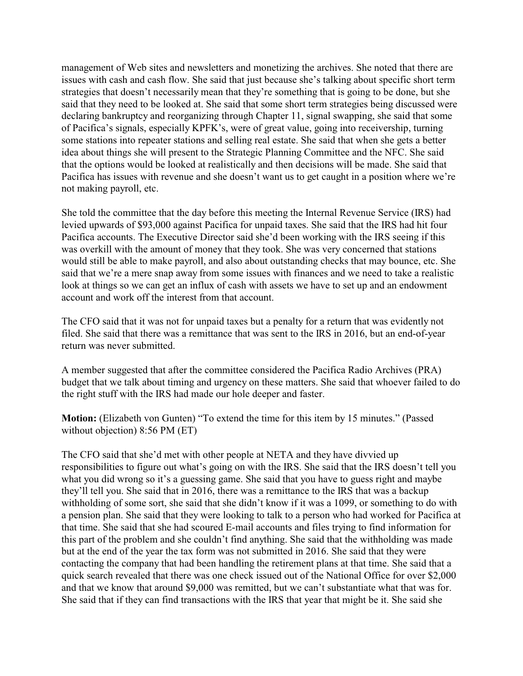management of Web sites and newsletters and monetizing the archives. She noted that there are issues with cash and cash flow. She said that just because she's talking about specific short term strategies that doesn't necessarily mean that they're something that is going to be done, but she said that they need to be looked at. She said that some short term strategies being discussed were declaring bankruptcy and reorganizing through Chapter 11, signal swapping, she said that some of Pacifica's signals, especially KPFK's, were of great value, going into receivership, turning some stations into repeater stations and selling real estate. She said that when she gets a better idea about things she will present to the Strategic Planning Committee and the NFC. She said that the options would be looked at realistically and then decisions will be made. She said that Pacifica has issues with revenue and she doesn't want us to get caught in a position where we're not making payroll, etc.

She told the committee that the day before this meeting the Internal Revenue Service (IRS) had levied upwards of \$93,000 against Pacifica for unpaid taxes. She said that the IRS had hit four Pacifica accounts. The Executive Director said she'd been working with the IRS seeing if this was overkill with the amount of money that they took. She was very concerned that stations would still be able to make payroll, and also about outstanding checks that may bounce, etc. She said that we're a mere snap away from some issues with finances and we need to take a realistic look at things so we can get an influx of cash with assets we have to set up and an endowment account and work off the interest from that account.

The CFO said that it was not for unpaid taxes but a penalty for a return that was evidently not filed. She said that there was a remittance that was sent to the IRS in 2016, but an end-of-year return was never submitted.

A member suggested that after the committee considered the Pacifica Radio Archives (PRA) budget that we talk about timing and urgency on these matters. She said that whoever failed to do the right stuff with the IRS had made our hole deeper and faster.

Motion: (Elizabeth von Gunten) "To extend the time for this item by 15 minutes." (Passed without objection) 8:56 PM (ET)

The CFO said that she'd met with other people at NETA and they have divvied up responsibilities to figure out what's going on with the IRS. She said that the IRS doesn't tell you what you did wrong so it's a guessing game. She said that you have to guess right and maybe they'll tell you. She said that in 2016, there was a remittance to the IRS that was a backup withholding of some sort, she said that she didn't know if it was a 1099, or something to do with a pension plan. She said that they were looking to talk to a person who had worked for Pacifica at that time. She said that she had scoured E-mail accounts and files trying to find information for this part of the problem and she couldn't find anything. She said that the withholding was made but at the end of the year the tax form was not submitted in 2016. She said that they were contacting the company that had been handling the retirement plans at that time. She said that a quick search revealed that there was one check issued out of the National Office for over \$2,000 and that we know that around \$9,000 was remitted, but we can't substantiate what that was for. She said that if they can find transactions with the IRS that year that might be it. She said she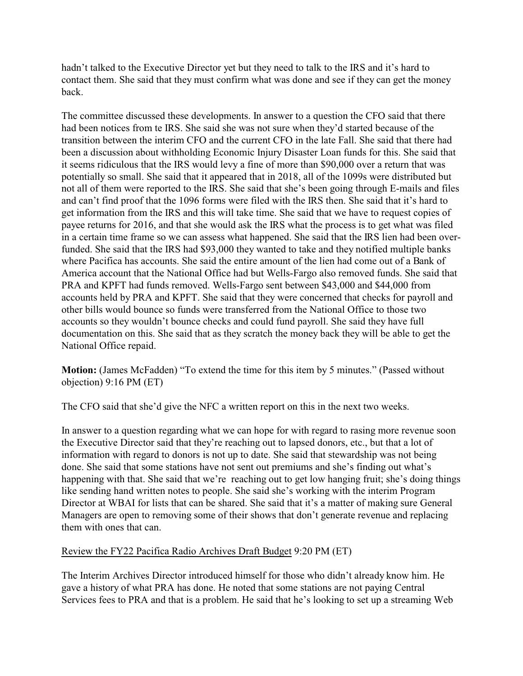hadn't talked to the Executive Director yet but they need to talk to the IRS and it's hard to contact them. She said that they must confirm what was done and see if they can get the money back.

The committee discussed these developments. In answer to a question the CFO said that there had been notices from te IRS. She said she was not sure when they'd started because of the transition between the interim CFO and the current CFO in the late Fall. She said that there had been a discussion about withholding Economic Injury Disaster Loan funds for this. She said that it seems ridiculous that the IRS would levy a fine of more than \$90,000 over a return that was potentially so small. She said that it appeared that in 2018, all of the 1099s were distributed but not all of them were reported to the IRS. She said that she's been going through E-mails and files and can't find proof that the 1096 forms were filed with the IRS then. She said that it's hard to get information from the IRS and this will take time. She said that we have to request copies of payee returns for 2016, and that she would ask the IRS what the process is to get what was filed in a certain time frame so we can assess what happened. She said that the IRS lien had been overfunded. She said that the IRS had \$93,000 they wanted to take and they notified multiple banks where Pacifica has accounts. She said the entire amount of the lien had come out of a Bank of America account that the National Office had but Wells-Fargo also removed funds. She said that PRA and KPFT had funds removed. Wells-Fargo sent between \$43,000 and \$44,000 from accounts held by PRA and KPFT. She said that they were concerned that checks for payroll and other bills would bounce so funds were transferred from the National Office to those two accounts so they wouldn't bounce checks and could fund payroll. She said they have full documentation on this. She said that as they scratch the money back they will be able to get the National Office repaid.

**Motion:** (James McFadden) "To extend the time for this item by 5 minutes." (Passed without objection) 9:16 PM (ET)

The CFO said that she'd give the NFC a written report on this in the next two weeks.

In answer to a question regarding what we can hope for with regard to rasing more revenue soon the Executive Director said that they're reaching out to lapsed donors, etc., but that a lot of information with regard to donors is not up to date. She said that stewardship was not being done. She said that some stations have not sent out premiums and she's finding out what's happening with that. She said that we're reaching out to get low hanging fruit; she's doing things like sending hand written notes to people. She said she's working with the interim Program Director at WBAI for lists that can be shared. She said that it's a matter of making sure General Managers are open to removing some of their shows that don't generate revenue and replacing them with ones that can.

## Review the FY22 Pacifica Radio Archives Draft Budget 9:20 PM (ET)

The Interim Archives Director introduced himself for those who didn't already know him. He gave a history of what PRA has done. He noted that some stations are not paying Central Services fees to PRA and that is a problem. He said that he's looking to set up a streaming Web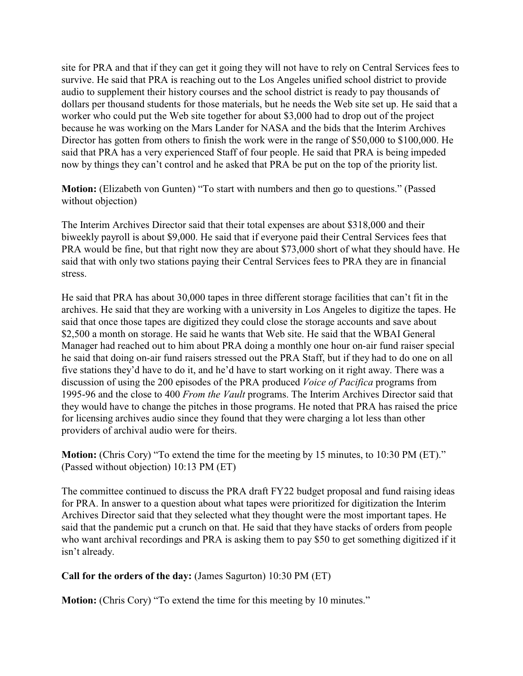site for PRA and that if they can get it going they will not have to rely on Central Services fees to survive. He said that PRA is reaching out to the Los Angeles unified school district to provide audio to supplement their history courses and the school district is ready to pay thousands of dollars per thousand students for those materials, but he needs the Web site set up. He said that a worker who could put the Web site together for about \$3,000 had to drop out of the project because he was working on the Mars Lander for NASA and the bids that the Interim Archives Director has gotten from others to finish the work were in the range of \$50,000 to \$100,000. He said that PRA has a very experienced Staff of four people. He said that PRA is being impeded now by things they can't control and he asked that PRA be put on the top of the priority list.

**Motion:** (Elizabeth von Gunten) "To start with numbers and then go to questions." (Passed without objection)

The Interim Archives Director said that their total expenses are about \$318,000 and their biweekly payroll is about \$9,000. He said that if everyone paid their Central Services fees that PRA would be fine, but that right now they are about \$73,000 short of what they should have. He said that with only two stations paying their Central Services fees to PRA they are in financial stress.

He said that PRA has about 30,000 tapes in three different storage facilities that can't fit in the archives. He said that they are working with a university in Los Angeles to digitize the tapes. He said that once those tapes are digitized they could close the storage accounts and save about \$2,500 a month on storage. He said he wants that Web site. He said that the WBAI General Manager had reached out to him about PRA doing a monthly one hour on-air fund raiser special he said that doing on-air fund raisers stressed out the PRA Staff, but if they had to do one on all five stations they'd have to do it, and he'd have to start working on it right away. There was a discussion of using the 200 episodes of the PRA produced *Voice of Pacifica* programs from 1995-96 and the close to 400 *From the Vault* programs. The Interim Archives Director said that they would have to change the pitches in those programs. He noted that PRA has raised the price for licensing archives audio since they found that they were charging a lot less than other providers of archival audio were for theirs.

**Motion:** (Chris Cory) "To extend the time for the meeting by 15 minutes, to 10:30 PM (ET)." (Passed without objection) 10:13 PM (ET)

The committee continued to discuss the PRA draft FY22 budget proposal and fund raising ideas for PRA. In answer to a question about what tapes were prioritized for digitization the Interim Archives Director said that they selected what they thought were the most important tapes. He said that the pandemic put a crunch on that. He said that they have stacks of orders from people who want archival recordings and PRA is asking them to pay \$50 to get something digitized if it isn't already.

## **Call for the orders of the day:** (James Sagurton) 10:30 PM (ET)

**Motion:** (Chris Cory) "To extend the time for this meeting by 10 minutes."